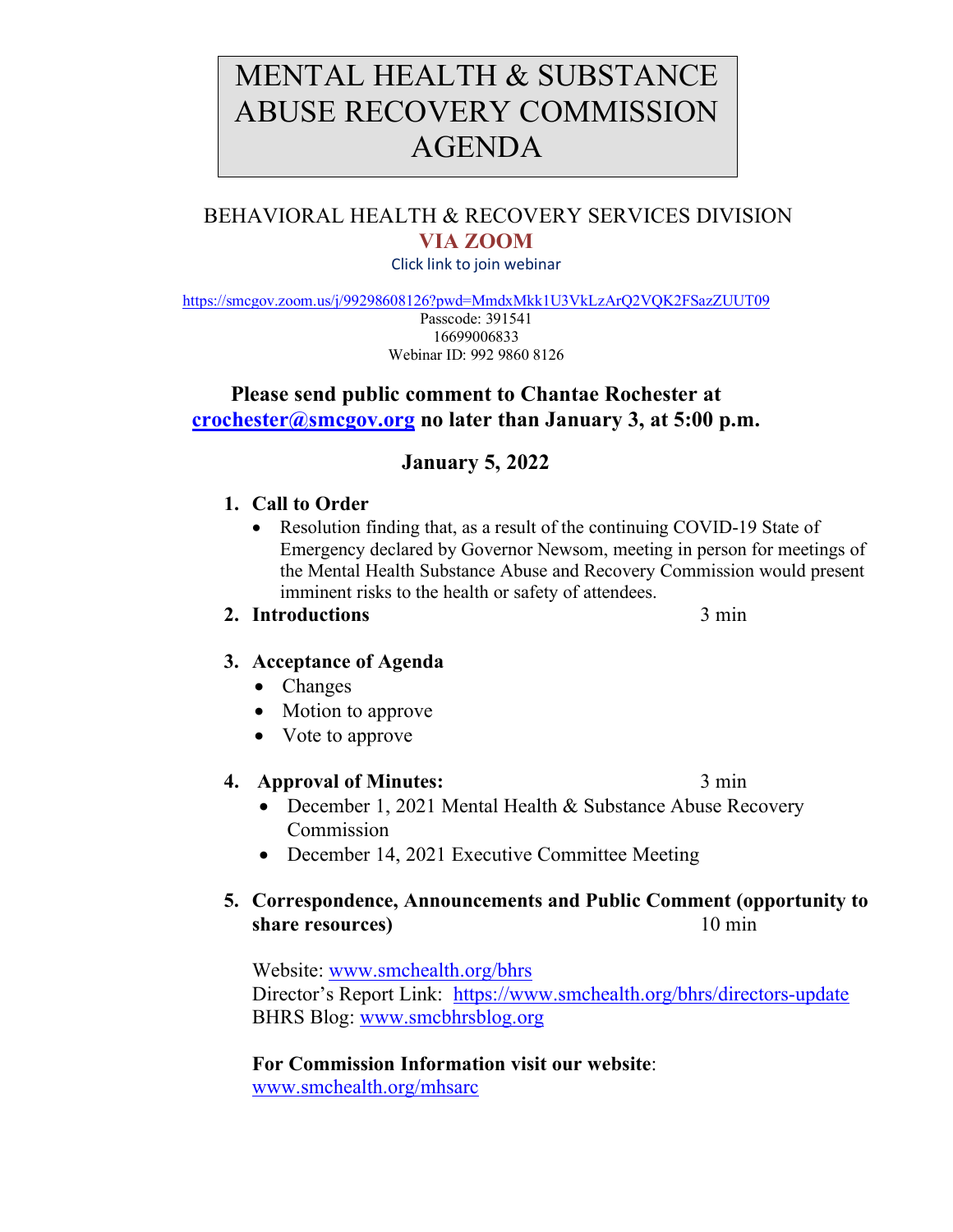# MENTAL HEALTH & SUBSTANCE ABUSE RECOVERY COMMISSION AGENDA

# BEHAVIORAL HEALTH & RECOVERY SERVICES DIVISION **VIA ZOOM**

Click link to join webinar

<https://smcgov.zoom.us/j/99298608126?pwd=MmdxMkk1U3VkLzArQ2VQK2FSazZUUT09>

Passcode: 391541 16699006833 Webinar ID: 992 9860 8126

## **Please send public comment to Chantae Rochester at [crochester@smcgov.org](mailto:crochester@smcgov.org) no later than January 3, at 5:00 p.m.**

## **January 5, 2022**

#### **1. Call to Order**

• Resolution finding that, as a result of the continuing COVID-19 State of Emergency declared by Governor Newsom, meeting in person for meetings of the Mental Health Substance Abuse and Recovery Commission would present imminent risks to the health or safety of attendees.

#### **2. Introductions** 3 min

## **3. Acceptance of Agenda**

- Changes
- Motion to approve
- Vote to approve

#### **4. Approval of Minutes:** 3 min

- December 1, 2021 Mental Health & Substance Abuse Recovery Commission
- December 14, 2021 Executive Committee Meeting

## **5. Correspondence, Announcements and Public Comment (opportunity to share resources**) 10 min

Website: [www.smchealth.org/bhrs](http://www.smchealth.org/bhrs) Director's Report Link: <https://www.smchealth.org/bhrs/directors-update> BHRS Blog: [www.smcbhrsblog.org](http://www.smcbhrsblog.org/)

**For Commission Information visit our website**: [www.smchealth.org/mhsarc](http://www.smchealth.org/mhsarc)